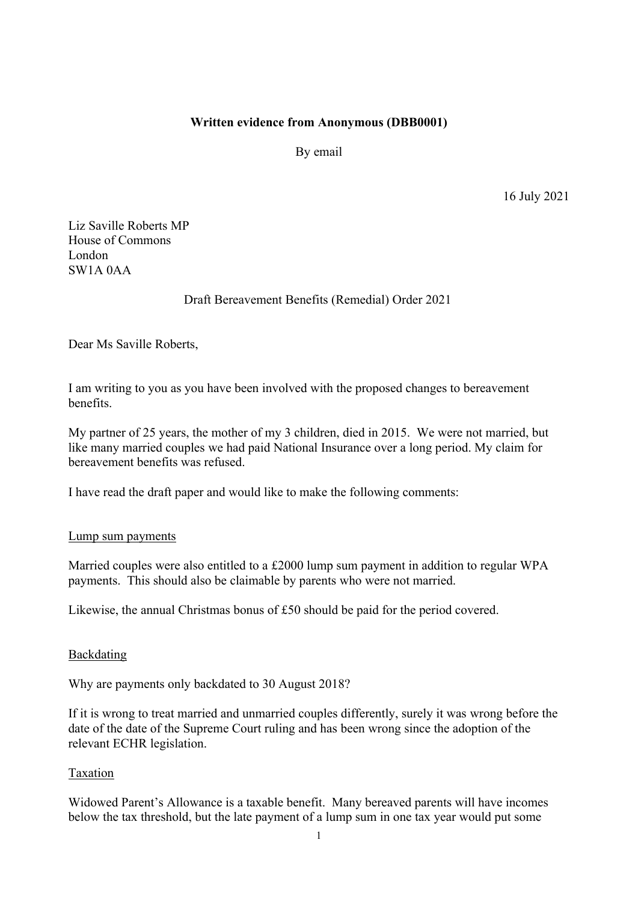### **Written evidence from Anonymous (DBB0001)**

By email

16 July 2021

Liz Saville Roberts MP House of Commons London SW1A 0AA

# Draft Bereavement Benefits (Remedial) Order 2021

Dear Ms Saville Roberts,

I am writing to you as you have been involved with the proposed changes to bereavement benefits.

My partner of 25 years, the mother of my 3 children, died in 2015. We were not married, but like many married couples we had paid National Insurance over a long period. My claim for bereavement benefits was refused.

I have read the draft paper and would like to make the following comments:

#### Lump sum payments

Married couples were also entitled to a £2000 lump sum payment in addition to regular WPA payments. This should also be claimable by parents who were not married.

Likewise, the annual Christmas bonus of £50 should be paid for the period covered.

#### Backdating

Why are payments only backdated to 30 August 2018?

If it is wrong to treat married and unmarried couples differently, surely it was wrong before the date of the date of the Supreme Court ruling and has been wrong since the adoption of the relevant ECHR legislation.

#### Taxation

Widowed Parent's Allowance is a taxable benefit. Many bereaved parents will have incomes below the tax threshold, but the late payment of a lump sum in one tax year would put some